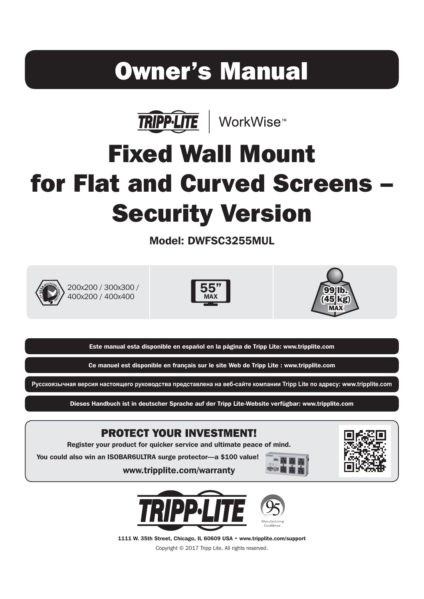# Owner's Manual



# Fixed Wall Mount for Flat and Curved Screens – Security Version

Model: DWFSC3255MUL



200x200 / 300x300 / 400x200 / 400x400





Este manual esta disponible en español en la página de Tripp Lite: www.tripplite.com

Ce manuel est disponible en français sur le site Web de Tripp Lite : www.tripplite.com

Русскоязычная версия настоящего руководства представлена на веб-сайте компании Tripp Lite по адресу: www.tripplite.com

Dieses Handbuch ist in deutscher Sprache auf der Tripp Lite-Website verfügbar: www.tripplite.com

#### PROTECT YOUR INVESTMENT!

Register your product for quicker service and ultimate peace of mind.

www.tripplite.com/warranty

You could also win an ISOBAR6ULTRA surge protector—a \$100 value!







1111 W. 35th Street, Chicago, IL 60609 USA • www.tripplite.com/support

Copyright © 2017 Tripp Lite. All rights reserved.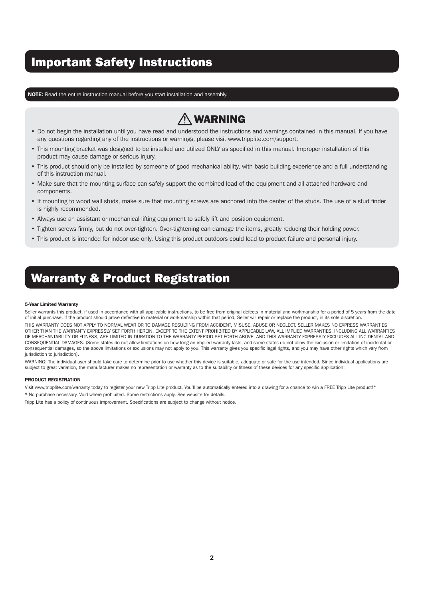### Important Safety Instructions

NOTE: Read the entire instruction manual before you start installation and assembly.

# $\triangle$  WARNING

- Do not begin the installation until you have read and understood the instructions and warnings contained in this manual. If you have any questions regarding any of the instructions or warnings, please visit www.tripplite.com/support.
- This mounting bracket was designed to be installed and utilized ONLY as specified in this manual. Improper installation of this product may cause damage or serious injury.
- This product should only be installed by someone of good mechanical ability, with basic building experience and a full understanding of this instruction manual.
- Make sure that the mounting surface can safely support the combined load of the equipment and all attached hardware and components.
- If mounting to wood wall studs, make sure that mounting screws are anchored into the center of the studs. The use of a stud finder is highly recommended.
- Always use an assistant or mechanical lifting equipment to safely lift and position equipment.
- Tighten screws firmly, but do not over-tighten. Over-tightening can damage the items, greatly reducing their holding power.
- This product is intended for indoor use only. Using this product outdoors could lead to product failure and personal injury.

### Warranty & Product Registration

#### 5-Year Limited Warranty

Seller warrants this product, if used in accordance with all applicable instructions, to be free from original defects in material and workmanship for a period of 5 years from the date of initial purchase. If the product should prove defective in material or workmanship within that period, Seller will repair or replace the product, in its sole discretion.

THIS WARRANTY DOES NOT APPLY TO NORMAL WEAR OR TO DAMAGE RESULTING FROM ACCIDENT, MISUSE, ABUSE OR NEGLECT. SELLER MAKES NO EXPRESS WARRANTIES OTHER THAN THE WARRANTY EXPRESSLY SET FORTH HEREIN. EXCEPT TO THE EXTENT PROHIBITED BY APPLICABLE LAW, ALL IMPLIED WARRANTIES, INCLUDING ALL WARRANTIES OF MERCHANTABILITY OR FITNESS, ARE LIMITED IN DURATION TO THE WARRANTY PERIOD SET FORTH ABOVE; AND THIS WARRANTY EXPRESSLY EXCLUDES ALL INCIDENTAL AND CONSEQUENTIAL DAMAGES. (Some states do not allow limitations on how long an implied warranty lasts, and some states do not allow the exclusion or limitation of incidental or consequential damages, so the above limitations or exclusions may not apply to you. This warranty gives you specific legal rights, and you may have other rights which vary from jurisdiction to jurisdiction).

WARNING: The individual user should take care to determine prior to use whether this device is suitable, adequate or safe for the use intended. Since individual applications are subject to great variation, the manufacturer makes no representation or warranty as to the suitability or fitness of these devices for any specific application.

#### PRODUCT REGISTRATION

Visit www.tripplite.com/warranty today to register your new Tripp Lite product. You'll be automatically entered into a drawing for a chance to win a FREE Tripp Lite product!\*

\* No purchase necessary. Void where prohibited. Some restrictions apply. See website for details.

Tripp Lite has a policy of continuous improvement. Specifications are subject to change without notice.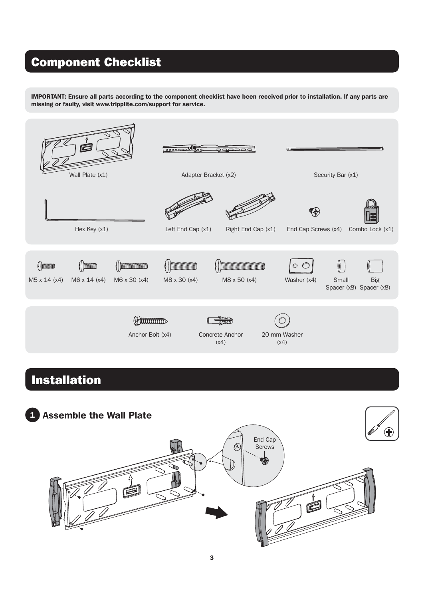### Component Checklist

IMPORTANT: Ensure all parts according to the component checklist have been received prior to installation. If any parts are missing or faulty, visit www.tripplite.com/support for service.



### Installation

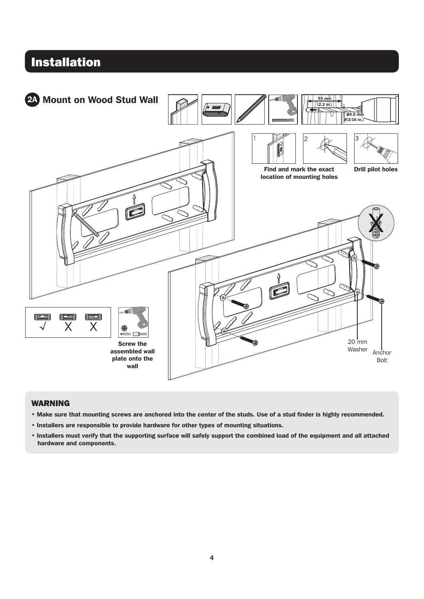

#### WARNING

- Make sure that mounting screws are anchored into the center of the studs. Use of a stud finder is highly recommended.
- Installers are responsible to provide hardware for other types of mounting situations.
- Installers must verify that the supporting surface will safely support the combined load of the equipment and all attached hardware and components.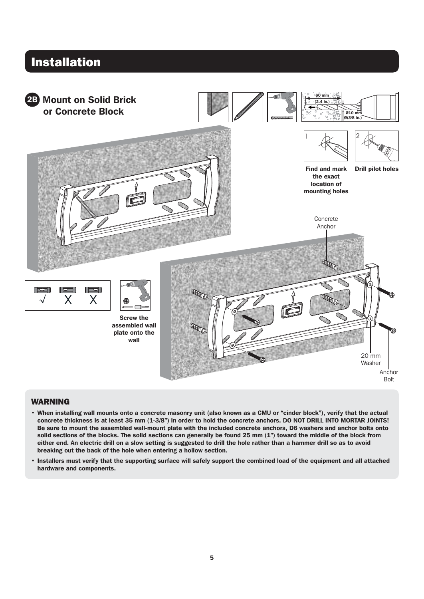#### **Installation** 60 mm 2B Mount on Solid Brick (2.4 in.) or Concrete Block O10 mm O(3/8 in.) Find and mark Drill pilot holes the exact location of mounting holes Concrete Anchor 亓 l d Χ X Screw the assembled wall plate onto the wall 20 mm Washer Anchor Bolt

#### WARNING

- When installing wall mounts onto a concrete masonry unit (also known as a CMU or "cinder block"), verify that the actual concrete thickness is at least 35 mm (1-3/8") in order to hold the concrete anchors. DO NOT DRILL INTO MORTAR JOINTS! Be sure to mount the assembled wall-mount plate with the included concrete anchors, D6 washers and anchor bolts onto solid sections of the blocks. The solid sections can generally be found 25 mm (1") toward the middle of the block from either end. An electric drill on a slow setting is suggested to drill the hole rather than a hammer drill so as to avoid breaking out the back of the hole when entering a hollow section.
- Installers must verify that the supporting surface will safely support the combined load of the equipment and all attached hardware and components.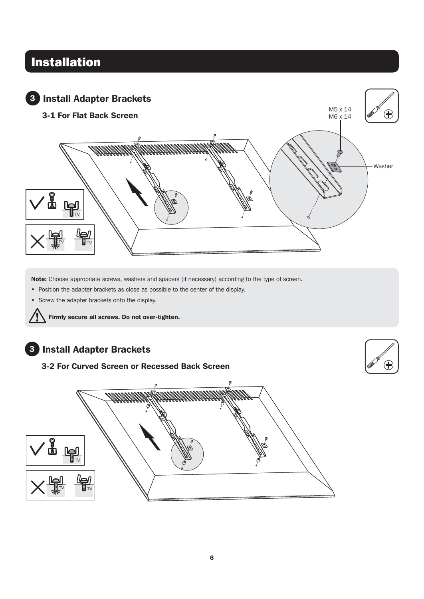

Note: Choose appropriate screws, washers and spacers (if necessary) according to the type of screen.

• Position the adapter brackets as close as possible to the center of the display.

• Screw the adapter brackets onto the display.



#### 3 Install Adapter Brackets

3-2 For Curved Screen or Recessed Back Screen



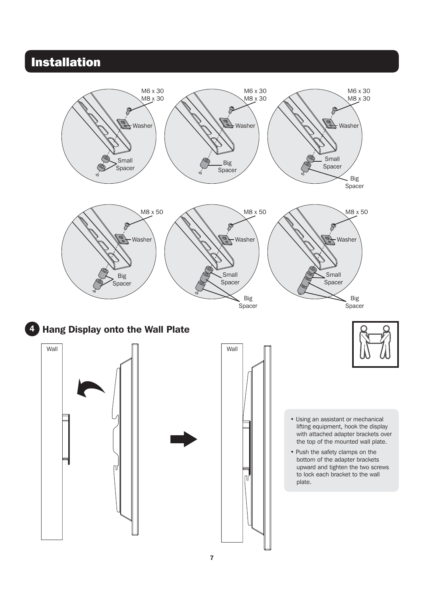